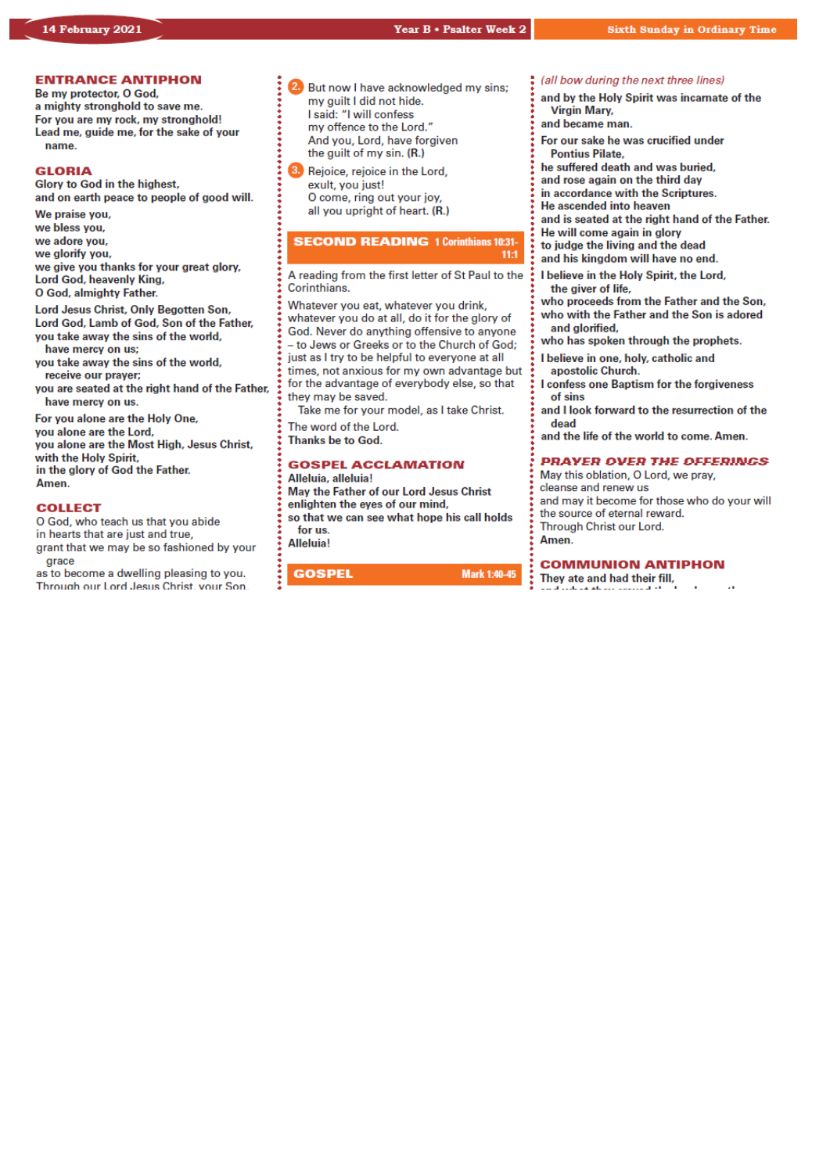# *Our Lady & St Edmund of Abingdon 1 Radley Rd, Abingdon on Thames, Oxon, OX14 3PL*

We are a *LiveSimply* parish aiming to live Simply, Sustainably and in Solidarity with the Poor

| Parish Priest:<br>Parish Secretary:<br>Office Hours:<br>Office Email:               | Fr. Jamie McGrath<br>Lisa Paterson<br>10.30am-12.30pm Tuesday to Friday<br>abingdon@portsmouthdiocese.org.uk                                       | Tel: 01235 520375<br>Tel: 01235 520375 |  |
|-------------------------------------------------------------------------------------|----------------------------------------------------------------------------------------------------------------------------------------------------|----------------------------------------|--|
| We live stream all services                                                         |                                                                                                                                                    |                                        |  |
| Safeguarding Team:<br>Visits at JR Hospital:<br>Visits and Help:<br>Parish Website: | Tel. 07572 935 230<br>Priest/Chaplain 01865 221732<br>Society of Vincent de Paul Group, contact via Parish Office<br>www.ourladyandstedmund.org.uk |                                        |  |
| <b>Primary School:</b>                                                              | St. Edmund's School, Radley Road, Abingdon, OX14 3PP Tel 521558                                                                                    |                                        |  |

Roman Catholic Diocese of Portsmouth Reg. Charity No 246871 www.portsmouthdiocese.org.uk

# **PARISH OFFICE OPENING HOURS:**

Please note that during this pandemic period, and until further notice, the Parish Office opening hours will be from **Tuesdays to Fridays from 10.30am to 12.30pm**. Outside of these times, Fr Jamie will respond to urgent phone messages as soon as he can.

# **PRIVATE PRAYER**

We are blessed that the church can be open, but for **private prayer only**, on the following days and times:

- *Tuesdays:* **12pm to 1pm**
- *Fridays:* **12pm to 1pm**

# **MASS BOOKINGS:**

*On Monday 15th February you can book for Masses from Sunday 21st to Saturday 27th February.*

*PLEASE* remember to give as many dates and times when you could attend – otherwise you may be disappointed. *We are currently limited to 20 people at each Mass*. Also be clear on the number of people you are booking for and let us know if you would like to attend more than one Mass during the week.

# N TO BOOK FOR MAS

# **No Internet Access?**

Phone 07395 946827 EACH MONDAY between 10am and 11am ONLY to book a place for the FOLLOWING week

# **Have Internet Access?**

**DON'T phone. Instead, email:** 

contact@ourladyandstedmund.org.uk **EACH MONDAY, to book a place for the FOLLOWING week** 

# **NEWSLETTERS**

Please remember that we are currently still not able to offer newsletters or any other printed material in church. Please bring your own with you if you would like to (you can download it from our website).

# **6th Week of Ordinary Time (Year B)** *Attendance through booking system only, but also available on our live stream* **Sunday 14 February** 10.15am Mass (Carmel Falzon & Freda Deado, RIP) 6.30pm Mass (Anne Mahon, intentions)

**Monday 15 February** 

9am Mass (Mary Ryan, RIP)

# **Tuesday 16 February**

NO Mass See: *www.ourladyandstedmund.org.uk/englishmartyrs-vale-of-white-horse* for other masses

|     | <b>Wednesday 17 February</b> | <b>ASH WEDNESDAY</b>       |
|-----|------------------------------|----------------------------|
| 9am | Mass                         | <i>(Special intention)</i> |

| am | Mass |  |
|----|------|--|
| pm | Mass |  |

7pm Mass (John Arthur Beale, RIP)

#### **Thursday 18 February**  9.30am Mass (Robert William Butt Pole, RIP)

**Friday 19 February**

7pm Mass *(Special intention)*

# **Saturday 20 February**

12pm Mass *(Special intention)*



# **SPIRITUAL COMMUNION PRAYER:**

My Jesus, I believe that You are present in the Most Blessed Sacrament. I love You above all things, and I desire to receive You into my soul. Since I cannot today receive You sacramentally, come at least spiritually into my heart. I embrace You as if You were already there, and unite myself wholly to You. Never permit me to be separated from You. Amen.